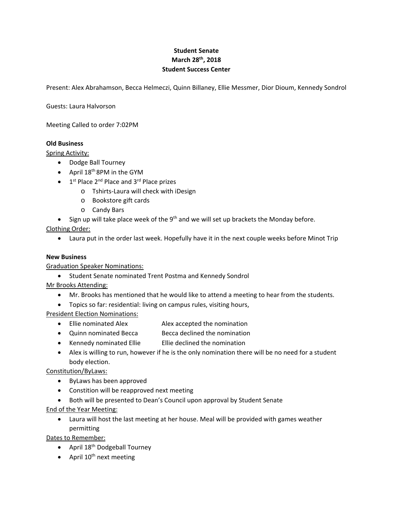## **Student Senate March 28th, 2018 Student Success Center**

Present: Alex Abrahamson, Becca Helmeczi, Quinn Billaney, Ellie Messmer, Dior Dioum, Kennedy Sondrol

Guests: Laura Halvorson

Meeting Called to order 7:02PM

## **Old Business**

Spring Activity:

- Dodge Ball Tourney
- April  $18<sup>th</sup>$  8PM in the GYM
- $\bullet$  1<sup>st</sup> Place 2<sup>nd</sup> Place and 3<sup>rd</sup> Place prizes
	- o Tshirts‐Laura will check with iDesign
	- o Bookstore gift cards
	- o Candy Bars
- $\bullet$  Sign up will take place week of the 9<sup>th</sup> and we will set up brackets the Monday before.

Clothing Order:

Laura put in the order last week. Hopefully have it in the next couple weeks before Minot Trip

## **New Business**

Graduation Speaker Nominations:

**•** Student Senate nominated Trent Postma and Kennedy Sondrol

Mr Brooks Attending:

- Mr. Brooks has mentioned that he would like to attend a meeting to hear from the students.
- Topics so far: residential: living on campus rules, visiting hours,

President Election Nominations:

- Ellie nominated Alex **Alex accepted the nomination**
- Quinn nominated Becca Becca declined the nomination
- Kennedy nominated Ellie Ellie declined the nomination
- body election. Alex is willing to run, however if he is the only nomination there will be no need for a student

Constitution/ByLaws:

- ByLaws has been approved
- Constition will be reapproved next meeting
- Both will be presented to Dean's Council upon approval by Student Senate

End of the Year Meeting:

 Laura will host the last meeting at her house. Meal will be provided with games weather permitting

Dates to Remember:

- April 18<sup>th</sup> Dodgeball Tourney
- April  $10^{th}$  next meeting